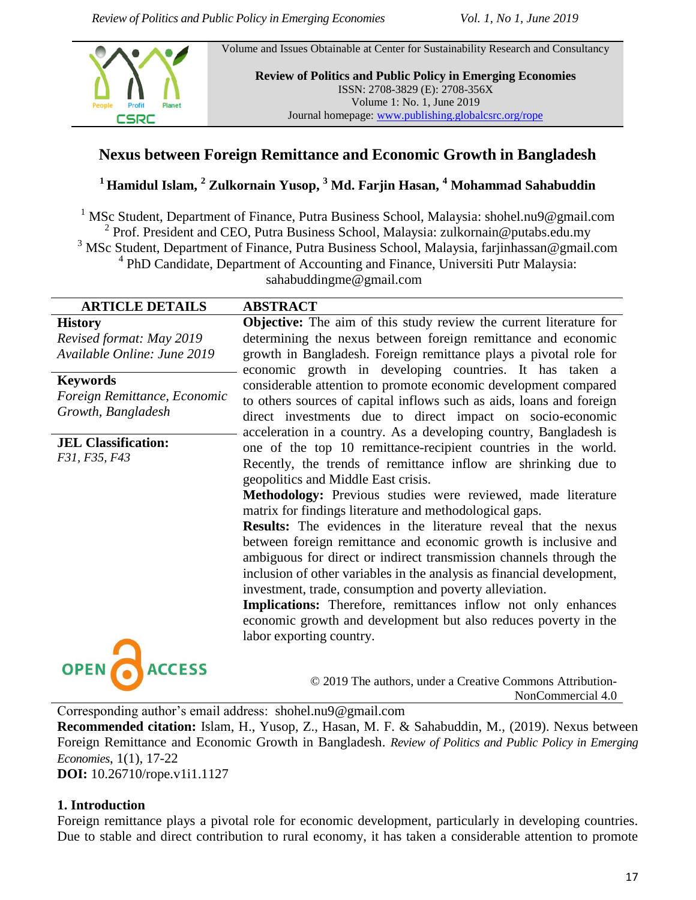Volume and Issues Obtainable at Center for Sustainability Research and Consultancy



**Review of Politics and Public Policy in Emerging Economies** ISSN: 2708-3829 (E): 2708-356X Volume 1: No. 1, June 2019 Journal homepage[: www.publishing.globalcsrc.org/rope](http://www.publishing.globalcsrc.org/rope)

# **Nexus between Foreign Remittance and Economic Growth in Bangladesh**

**<sup>1</sup> Hamidul Islam, <sup>2</sup> Zulkornain Yusop, <sup>3</sup> Md. Farjin Hasan, <sup>4</sup> Mohammad Sahabuddin** 

<sup>1</sup> MSc Student, Department of Finance, Putra Business School, Malaysia: shohel.nu9@gmail.com <sup>2</sup> Prof. President and CEO, Putra Business School, Malaysia: zulkornain@putabs.edu.my <sup>3</sup> MSc Student, Department of Finance, Putra Business School, Malaysia, farjinhassan@gmail.com <sup>4</sup> PhD Candidate, Department of Accounting and Finance, Universiti Putr Malaysia: sahabuddingme@gmail.com

# **ARTICLE DETAILS ABSTRACT**

#### **History**

*Revised format: May 2019 Available Online: June 2019*

**Keywords**

*Foreign Remittance, Economic Growth, Bangladesh*

**JEL Classification:**  *F31, F35, F43*

**Objective:** The aim of this study review the current literature for determining the nexus between foreign remittance and economic growth in Bangladesh. Foreign remittance plays a pivotal role for economic growth in developing countries. It has taken a considerable attention to promote economic development compared to others sources of capital inflows such as aids, loans and foreign direct investments due to direct impact on socio-economic acceleration in a country. As a developing country, Bangladesh is one of the top 10 remittance-recipient countries in the world. Recently, the trends of remittance inflow are shrinking due to geopolitics and Middle East crisis.

**Methodology:** Previous studies were reviewed, made literature matrix for findings literature and methodological gaps.

**Results:** The evidences in the literature reveal that the nexus between foreign remittance and economic growth is inclusive and ambiguous for direct or indirect transmission channels through the inclusion of other variables in the analysis as financial development, investment, trade, consumption and poverty alleviation.

**Implications:** Therefore, remittances inflow not only enhances economic growth and development but also reduces poverty in the labor exporting country.



© 2019 The authors, under a Creative Commons Attribution-NonCommercial 4.0

Corresponding author's email address: shohel.nu9@gmail.com

**Recommended citation:** Islam, H., Yusop, Z., Hasan, M. F. & Sahabuddin, M., (2019). Nexus between Foreign Remittance and Economic Growth in Bangladesh. *Review of Politics and Public Policy in Emerging Economies*, 1(1), 17-22

**DOI:** 10.26710/rope.v1i1.1127

#### **1. Introduction**

Foreign remittance plays a pivotal role for economic development, particularly in developing countries. Due to stable and direct contribution to rural economy, it has taken a considerable attention to promote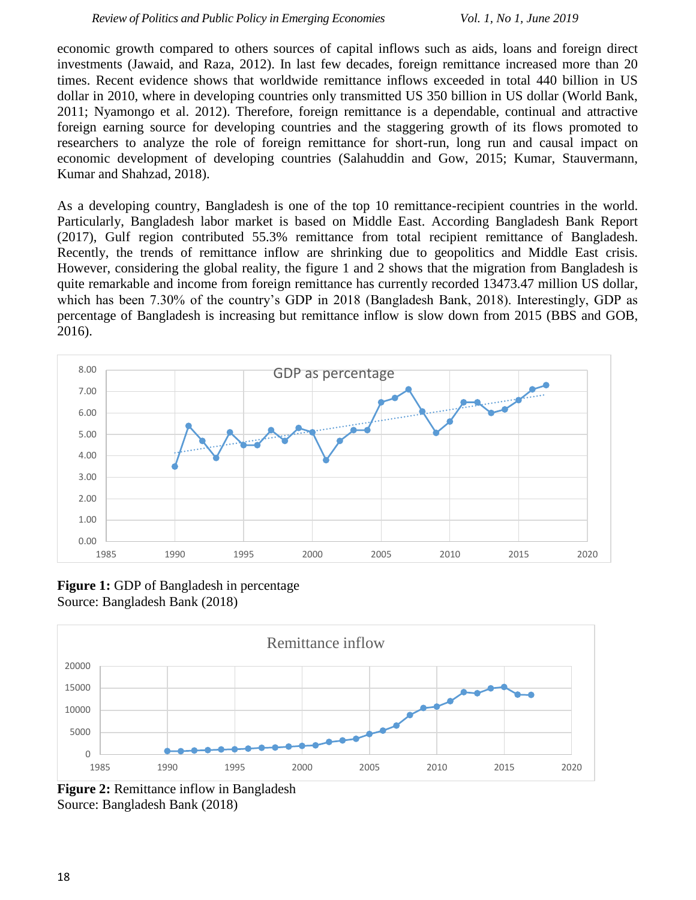economic growth compared to others sources of capital inflows such as aids, loans and foreign direct investments (Jawaid, and Raza, 2012). In last few decades, foreign remittance increased more than 20 times. Recent evidence shows that worldwide remittance inflows exceeded in total 440 billion in US dollar in 2010, where in developing countries only transmitted US 350 billion in US dollar (World Bank, 2011; Nyamongo et al. 2012). Therefore, foreign remittance is a dependable, continual and attractive foreign earning source for developing countries and the staggering growth of its flows promoted to researchers to analyze the role of foreign remittance for short-run, long run and causal impact on economic development of developing countries (Salahuddin and Gow, 2015; Kumar, Stauvermann, Kumar and Shahzad, 2018).

As a developing country, Bangladesh is one of the top 10 remittance-recipient countries in the world. Particularly, Bangladesh labor market is based on Middle East. According Bangladesh Bank Report (2017), Gulf region contributed 55.3% remittance from total recipient remittance of Bangladesh. Recently, the trends of remittance inflow are shrinking due to geopolitics and Middle East crisis. However, considering the global reality, the figure 1 and 2 shows that the migration from Bangladesh is quite remarkable and income from foreign remittance has currently recorded 13473.47 million US dollar, which has been 7.30% of the country's GDP in 2018 (Bangladesh Bank, 2018). Interestingly, GDP as percentage of Bangladesh is increasing but remittance inflow is slow down from 2015 (BBS and GOB, 2016).



**Figure 1:** GDP of Bangladesh in percentage Source: Bangladesh Bank (2018)



**Figure 2:** Remittance inflow in Bangladesh Source: Bangladesh Bank (2018)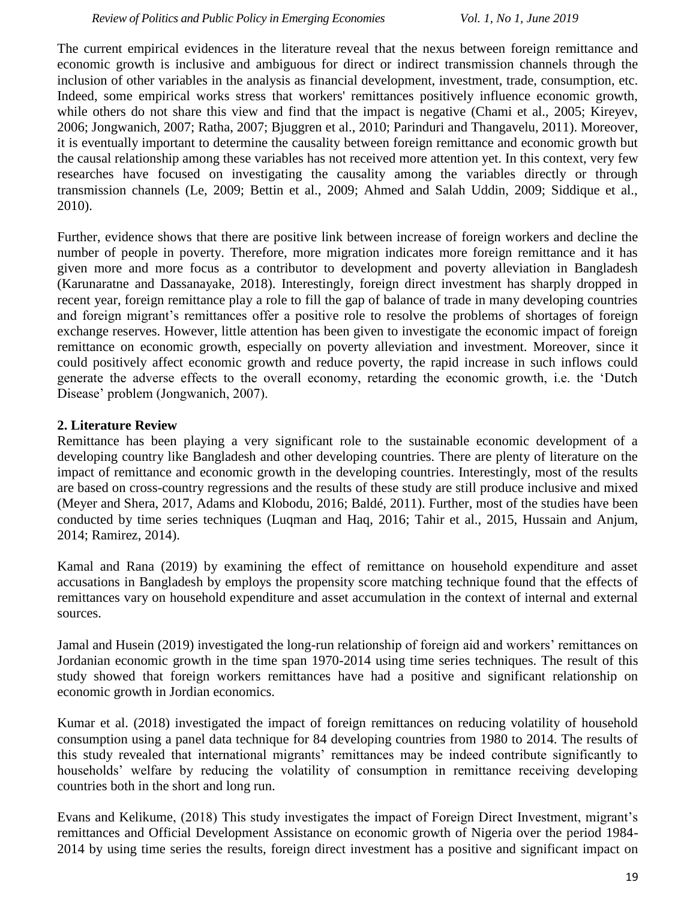The current empirical evidences in the literature reveal that the nexus between foreign remittance and economic growth is inclusive and ambiguous for direct or indirect transmission channels through the inclusion of other variables in the analysis as financial development, investment, trade, consumption, etc. Indeed, some empirical works stress that workers' remittances positively influence economic growth, while others do not share this view and find that the impact is negative (Chami et al., 2005; Kireyev, 2006; Jongwanich, 2007; Ratha, 2007; Bjuggren et al., 2010; Parinduri and Thangavelu, 2011). Moreover, it is eventually important to determine the causality between foreign remittance and economic growth but the causal relationship among these variables has not received more attention yet. In this context, very few researches have focused on investigating the causality among the variables directly or through transmission channels (Le, 2009; Bettin et al., 2009; Ahmed and Salah Uddin, 2009; Siddique et al., 2010).

Further, evidence shows that there are positive link between increase of foreign workers and decline the number of people in poverty. Therefore, more migration indicates more foreign remittance and it has given more and more focus as a contributor to development and poverty alleviation in Bangladesh (Karunaratne and Dassanayake, 2018). Interestingly, foreign direct investment has sharply dropped in recent year, foreign remittance play a role to fill the gap of balance of trade in many developing countries and foreign migrant's remittances offer a positive role to resolve the problems of shortages of foreign exchange reserves. However, little attention has been given to investigate the economic impact of foreign remittance on economic growth, especially on poverty alleviation and investment. Moreover, since it could positively affect economic growth and reduce poverty, the rapid increase in such inflows could generate the adverse effects to the overall economy, retarding the economic growth, i.e. the 'Dutch Disease' problem (Jongwanich, 2007).

# **2. Literature Review**

Remittance has been playing a very significant role to the sustainable economic development of a developing country like Bangladesh and other developing countries. There are plenty of literature on the impact of remittance and economic growth in the developing countries. Interestingly, most of the results are based on cross-country regressions and the results of these study are still produce inclusive and mixed (Meyer and Shera, 2017, Adams and Klobodu, 2016; Baldé, 2011). Further, most of the studies have been conducted by time series techniques (Luqman and Haq, 2016; Tahir et al., 2015, Hussain and Anjum, 2014; Ramirez, 2014).

Kamal and Rana (2019) by examining the effect of remittance on household expenditure and asset accusations in Bangladesh by employs the propensity score matching technique found that the effects of remittances vary on household expenditure and asset accumulation in the context of internal and external sources.

Jamal and Husein (2019) investigated the long-run relationship of foreign aid and workers' remittances on Jordanian economic growth in the time span 1970-2014 using time series techniques. The result of this study showed that foreign workers remittances have had a positive and significant relationship on economic growth in Jordian economics.

Kumar et al. (2018) investigated the impact of foreign remittances on reducing volatility of household consumption using a panel data technique for 84 developing countries from 1980 to 2014. The results of this study revealed that international migrants' remittances may be indeed contribute significantly to households' welfare by reducing the volatility of consumption in remittance receiving developing countries both in the short and long run.

Evans and Kelikume, (2018) This study investigates the impact of Foreign Direct Investment, migrant's remittances and Official Development Assistance on economic growth of Nigeria over the period 1984- 2014 by using time series the results, foreign direct investment has a positive and significant impact on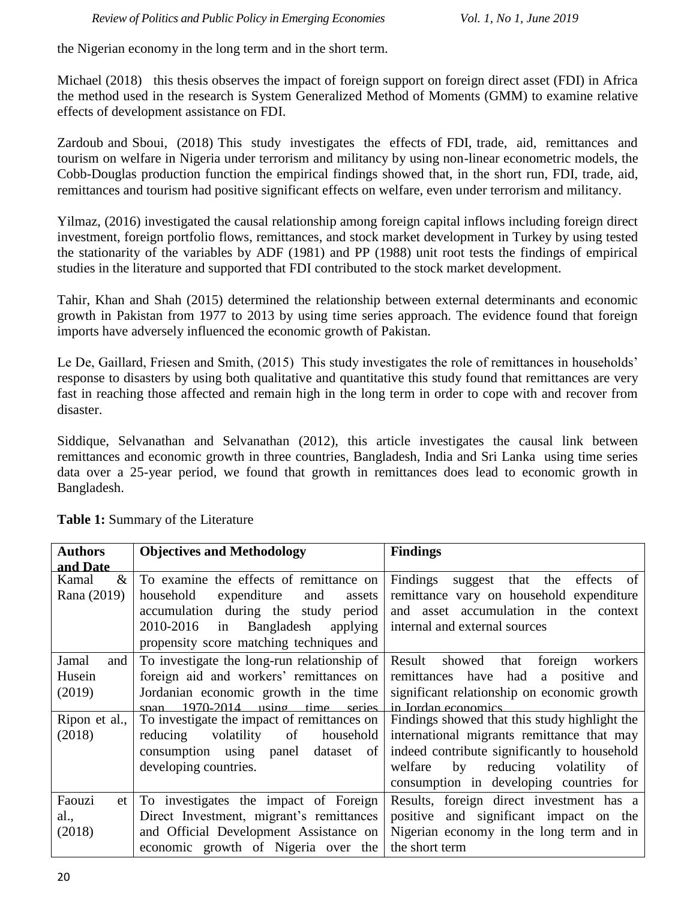the Nigerian economy in the long term and in the short term.

Michael (2018) this thesis observes the impact of foreign support on foreign direct asset (FDI) in Africa the method used in the research is System Generalized Method of Moments (GMM) to examine relative effects of development assistance on FDI.

Zardoub and Sboui, (2018) This study investigates the effects of FDI, trade, aid, remittances and tourism on welfare in Nigeria under terrorism and militancy by using non-linear econometric models, the Cobb-Douglas production function the empirical findings showed that, in the short run, FDI, trade, aid, remittances and tourism had positive significant effects on welfare, even under terrorism and militancy.

Yilmaz, (2016) investigated the causal relationship among foreign capital inflows including foreign direct investment, foreign portfolio flows, remittances, and stock market development in Turkey by using tested the stationarity of the variables by ADF (1981) and PP (1988) unit root tests the findings of empirical studies in the literature and supported that FDI contributed to the stock market development.

Tahir, Khan and Shah (2015) determined the relationship between external determinants and economic growth in Pakistan from 1977 to 2013 by using time series approach. The evidence found that foreign imports have adversely influenced the economic growth of Pakistan.

Le De, Gaillard, Friesen and Smith, (2015) This study investigates the role of remittances in households' response to disasters by using both qualitative and quantitative this study found that remittances are very fast in reaching those affected and remain high in the long term in order to cope with and recover from disaster.

Siddique, Selvanathan and Selvanathan (2012), this article investigates the causal link between remittances and economic growth in three countries, Bangladesh, India and Sri Lanka using time series data over a 25-year period, we found that growth in remittances does lead to economic growth in Bangladesh.

| <b>Authors</b> | <b>Objectives and Methodology</b>           | <b>Findings</b>                               |
|----------------|---------------------------------------------|-----------------------------------------------|
| and Date       |                                             |                                               |
| $\&$<br>Kamal  | To examine the effects of remittance on     | Findings<br>suggest that the effects<br>of    |
| Rana (2019)    | household<br>expenditure<br>and<br>assets   | remittance vary on household expenditure      |
|                | accumulation during the study period        | and asset accumulation in the context         |
|                | 2010-2016<br>Bangladesh applying<br>in      | internal and external sources                 |
|                | propensity score matching techniques and    |                                               |
| Jamal<br>and   | To investigate the long-run relationship of | Result showed<br>that<br>foreign<br>workers   |
| Husein         | foreign aid and workers' remittances on     | remittances have had<br>a positive<br>and     |
| (2019)         | Jordanian economic growth in the time       | significant relationship on economic growth   |
|                | $1970-2014$ using time series<br>snan       | in Jordan economics.                          |
| Ripon et al.,  | To investigate the impact of remittances on | Findings showed that this study highlight the |
| (2018)         | volatility<br>reducing<br>of<br>household   | international migrants remittance that may    |
|                | consumption using panel dataset of          | indeed contribute significantly to household  |
|                | developing countries.                       | by reducing<br>welfare<br>volatility<br>of    |
|                |                                             | consumption in developing countries<br>for    |
| Faouzi<br>et   | To investigates the impact of Foreign       | Results, foreign direct investment has a      |
| al.,           | Direct Investment, migrant's remittances    | positive and significant impact on the        |
| (2018)         | and Official Development Assistance on      | Nigerian economy in the long term and in      |
|                | economic growth of Nigeria over the         | the short term                                |
|                |                                             |                                               |

**Table 1:** Summary of the Literature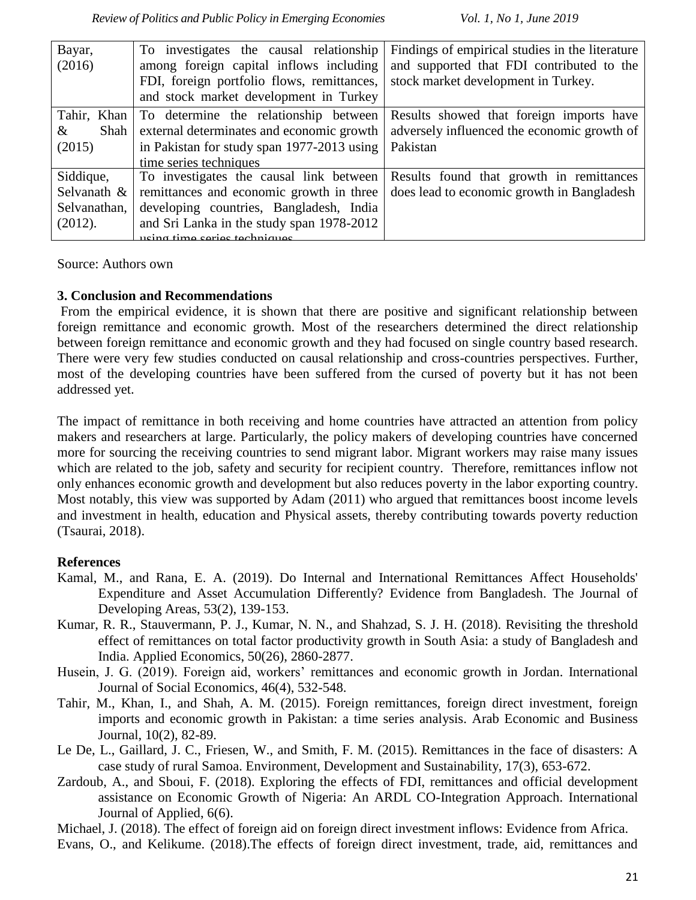| Bayar,       | To investigates the causal relationship    | Findings of empirical studies in the literature |
|--------------|--------------------------------------------|-------------------------------------------------|
| (2016)       | among foreign capital inflows including    | and supported that FDI contributed to the       |
|              | FDI, foreign portfolio flows, remittances, | stock market development in Turkey.             |
|              | and stock market development in Turkey     |                                                 |
|              |                                            |                                                 |
| Tahir, Khan  | To determine the relationship between      | Results showed that foreign imports have        |
| Shah<br>&    | external determinates and economic growth  | adversely influenced the economic growth of     |
| (2015)       | in Pakistan for study span 1977-2013 using | Pakistan                                        |
|              | time series techniques                     |                                                 |
| Siddique,    | To investigates the causal link between    | Results found that growth in remittances        |
| Selvanath &  | remittances and economic growth in three   | does lead to economic growth in Bangladesh      |
| Selvanathan, | developing countries, Bangladesh, India    |                                                 |
| (2012).      | and Sri Lanka in the study span 1978-2012  |                                                 |
|              | using time series techniques               |                                                 |

Source: Authors own

### **3. Conclusion and Recommendations**

From the empirical evidence, it is shown that there are positive and significant relationship between foreign remittance and economic growth. Most of the researchers determined the direct relationship between foreign remittance and economic growth and they had focused on single country based research. There were very few studies conducted on causal relationship and cross-countries perspectives. Further, most of the developing countries have been suffered from the cursed of poverty but it has not been addressed yet.

The impact of remittance in both receiving and home countries have attracted an attention from policy makers and researchers at large. Particularly, the policy makers of developing countries have concerned more for sourcing the receiving countries to send migrant labor. Migrant workers may raise many issues which are related to the job, safety and security for recipient country. Therefore, remittances inflow not only enhances economic growth and development but also reduces poverty in the labor exporting country. Most notably, this view was supported by Adam (2011) who argued that remittances boost income levels and investment in health, education and Physical assets, thereby contributing towards poverty reduction (Tsaurai, 2018).

# **References**

- Kamal, M., and Rana, E. A. (2019). Do Internal and International Remittances Affect Households' Expenditure and Asset Accumulation Differently? Evidence from Bangladesh. The Journal of Developing Areas, 53(2), 139-153.
- Kumar, R. R., Stauvermann, P. J., Kumar, N. N., and Shahzad, S. J. H. (2018). Revisiting the threshold effect of remittances on total factor productivity growth in South Asia: a study of Bangladesh and India. Applied Economics, 50(26), 2860-2877.
- Husein, J. G. (2019). Foreign aid, workers' remittances and economic growth in Jordan. International Journal of Social Economics, 46(4), 532-548.
- Tahir, M., Khan, I., and Shah, A. M. (2015). Foreign remittances, foreign direct investment, foreign imports and economic growth in Pakistan: a time series analysis. Arab Economic and Business Journal, 10(2), 82-89.
- Le De, L., Gaillard, J. C., Friesen, W., and Smith, F. M. (2015). Remittances in the face of disasters: A case study of rural Samoa. Environment, Development and Sustainability, 17(3), 653-672.
- Zardoub, A., and Sboui, F. (2018). Exploring the effects of FDI, remittances and official development assistance on Economic Growth of Nigeria: An ARDL CO-Integration Approach. International Journal of Applied, 6(6).

Michael, J. (2018). The effect of foreign aid on foreign direct investment inflows: Evidence from Africa.

Evans, O., and Kelikume. (2018).The effects of foreign direct investment, trade, aid, remittances and